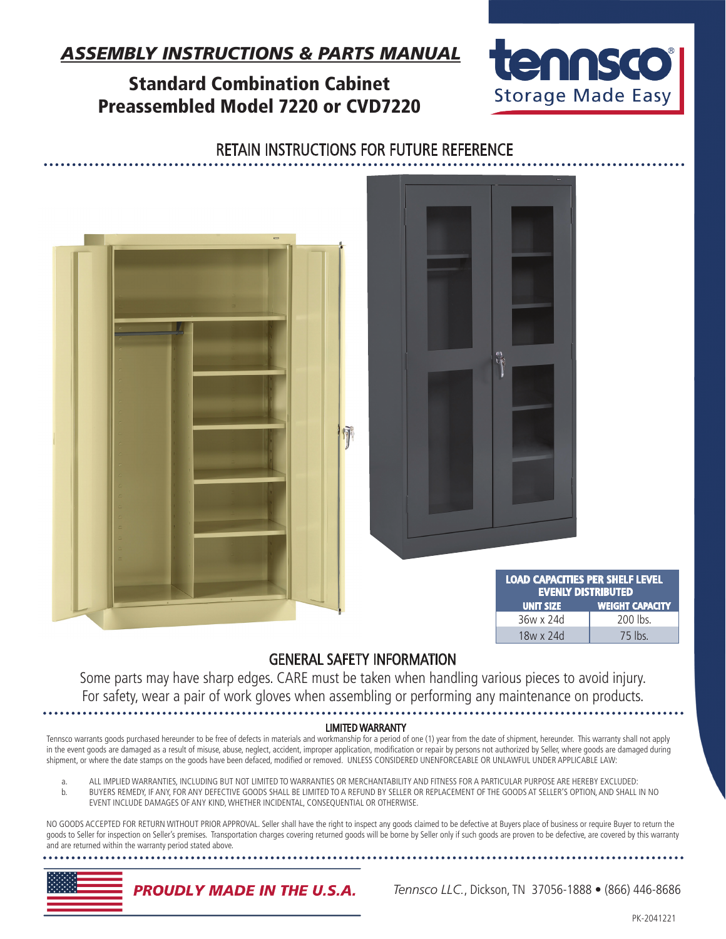## *ASSEMBLY INSTRUCTIONS & PARTS MANUAL*

Standard Combination Cabinet Preassembled Model 7220 or CVD7220



### RETAIN INSTRUCTIONS FOR FUTURE REFERENCE





| <b>LOAD CAPACITIES PER SHELF LEVEL</b><br><b>EVENLY DISTRIBUTED</b> |                        |  |  |
|---------------------------------------------------------------------|------------------------|--|--|
| <b>UNIT SIZE</b>                                                    | <b>WEIGHT CAPACITY</b> |  |  |
| 36w x 24d                                                           | 200 lbs.               |  |  |
| 18w x 24d                                                           | 75 lbs.                |  |  |

### GENERAL SAFETY INFORMATION

Some parts may have sharp edges. CARE must be taken when handling various pieces to avoid injury. For safety, wear a pair of work gloves when assembling or performing any maintenance on products.

#### LIMITED WARRANTY

Tennsco warrants goods purchased hereunder to be free of defects in materials and workmanship for a period of one (1) year from the date of shipment, hereunder. This warranty shall not apply in the event goods are damaged as a result of misuse, abuse, neglect, accident, improper application, modification or repair by persons not authorized by Seller, where goods are damaged during shipment, or where the date stamps on the goods have been defaced, modified or removed. UNLESS CONSIDERED UNENFORCEABLE OR UNLAWFUL UNDER APPLICABLE LAW:

a. ALL IMPLIED WARRANTIES, INCLUDING BUT NOT LIMITED TO WARRANTIES OR MERCHANTABILITY AND FITNESS FOR A PARTICULAR PURPOSE ARE HEREBY EXCLUDED: b. BUYERS REMEDY, IF ANY, FOR ANY DEFECTIVE GOODS SHALL BE LIMITED TO A REFUND BY SELLER OR REPLACEMENT OF THE GOODS AT SELLER'S OPTION, AND SHALL IN NO EVENT INCLUDE DAMAGES OF ANY KIND, WHETHER INCIDENTAL, CONSEQUENTIAL OR OTHERWISE.

NO GOODS ACCEPTED FOR RETURN WITHOUT PRIOR APPROVAL. Seller shall have the right to inspect any goods claimed to be defective at Buyers place of business or require Buyer to return the goods to Seller for inspection on Seller's premises. Transportation charges covering returned goods will be borne by Seller only if such goods are proven to be defective, are covered by this warranty and are returned within the warranty period stated above.



 *Tennsco LLC.*, Dickson, TN 37056-1888 • (866) 446-8686